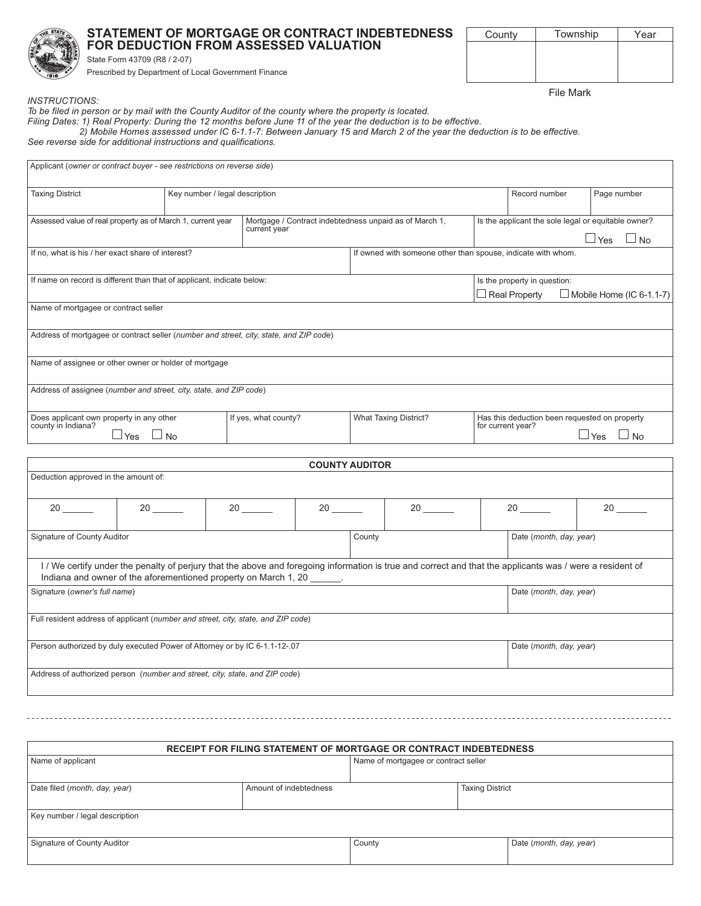

## STATEMENT OF MORTGAGE OR CONTRACT INDEBTEDNESS FOR DEDUCTION FROM ASSESSED VALUATION

Township County

**File Mark** 

Year

**INSTRUCTIONS:** 

To be filed in person or by mail with the County Auditor of the county where the property is located.

Filing Dates: 1) Real Property: During the 12 months before June 11 of the year the deduction is to be effective.<br>2) Mobile Homes assessed under IC 6-1.1-7: Between January 15 and March 2 of the year the deduction is to be

See reverse side for additional instructions and qualifications.

| Applicant (owner or contract buyer - see restrictions on reverse side)                 |                                |                                                                        |                                                              |                                                                                               |                                                                                         |             |  |  |
|----------------------------------------------------------------------------------------|--------------------------------|------------------------------------------------------------------------|--------------------------------------------------------------|-----------------------------------------------------------------------------------------------|-----------------------------------------------------------------------------------------|-------------|--|--|
| <b>Taxing District</b>                                                                 | Key number / legal description |                                                                        |                                                              | Record number                                                                                 |                                                                                         | Page number |  |  |
| Assessed value of real property as of March 1, current year                            |                                | Mortgage / Contract indebtedness unpaid as of March 1,<br>current year |                                                              | Is the applicant the sole legal or equitable owner?<br>$\Box$ Yes<br>$\Box$ No                |                                                                                         |             |  |  |
| If no, what is his / her exact share of interest?                                      |                                |                                                                        | If owned with someone other than spouse, indicate with whom. |                                                                                               |                                                                                         |             |  |  |
| If name on record is different than that of applicant, indicate below:                 |                                |                                                                        |                                                              |                                                                                               | Is the property in question:<br>$\Box$ Real Property<br>$\Box$ Mobile Home (IC 6-1.1-7) |             |  |  |
| Name of mortgagee or contract seller                                                   |                                |                                                                        |                                                              |                                                                                               |                                                                                         |             |  |  |
| Address of mortgagee or contract seller (number and street, city, state, and ZIP code) |                                |                                                                        |                                                              |                                                                                               |                                                                                         |             |  |  |
| Name of assignee or other owner or holder of mortgage                                  |                                |                                                                        |                                                              |                                                                                               |                                                                                         |             |  |  |
| Address of assignee (number and street, city, state, and ZIP code)                     |                                |                                                                        |                                                              |                                                                                               |                                                                                         |             |  |  |
| Does applicant own property in any other<br>county in Indiana?<br>$\Box$ Yes $\Box$ No |                                | If yes, what county?                                                   | <b>What Taxing District?</b>                                 | Has this deduction been requested on property<br>for current year?<br>$\Box$ Yes<br>$\Box$ No |                                                                                         |             |  |  |
|                                                                                        |                                |                                                                        | <b>COUNTY AUDITOR</b>                                        |                                                                                               |                                                                                         |             |  |  |
| Deduction approved in the amount of:                                                   |                                |                                                                        |                                                              |                                                                                               |                                                                                         |             |  |  |

| 20                                                                                                                                                                                                                         | 20 | 20 | 20 | 20 | 20 | 20                      |  |
|----------------------------------------------------------------------------------------------------------------------------------------------------------------------------------------------------------------------------|----|----|----|----|----|-------------------------|--|
| Signature of County Auditor                                                                                                                                                                                                |    |    |    |    |    | Date (month, day, year) |  |
| I/We certify under the penalty of perjury that the above and foregoing information is true and correct and that the applicants was / were a resident of<br>Indiana and owner of the aforementioned property on March 1, 20 |    |    |    |    |    |                         |  |
| Signature (owner's full name)                                                                                                                                                                                              |    |    |    |    |    | Date (month, day, year) |  |
| Full resident address of applicant (number and street, city, state, and ZIP code)                                                                                                                                          |    |    |    |    |    |                         |  |
| Person authorized by duly executed Power of Attorney or by IC 6-1.1-12-.07                                                                                                                                                 |    |    |    |    |    | Date (month, day, year) |  |
| Address of authorized person (number and street, city, state, and ZIP code)                                                                                                                                                |    |    |    |    |    |                         |  |

| RECEIPT FOR FILING STATEMENT OF MORTGAGE OR CONTRACT INDEBTEDNESS |                        |                                      |  |                         |  |  |  |
|-------------------------------------------------------------------|------------------------|--------------------------------------|--|-------------------------|--|--|--|
| Name of applicant                                                 |                        | Name of mortgagee or contract seller |  |                         |  |  |  |
|                                                                   |                        |                                      |  |                         |  |  |  |
| Date filed (month, day, year)                                     | Amount of indebtedness | <b>Taxing District</b>               |  |                         |  |  |  |
|                                                                   |                        |                                      |  |                         |  |  |  |
| Key number / legal description                                    |                        |                                      |  |                         |  |  |  |
|                                                                   |                        |                                      |  |                         |  |  |  |
| Signature of County Auditor                                       |                        | County                               |  | Date (month, day, year) |  |  |  |
|                                                                   |                        |                                      |  |                         |  |  |  |